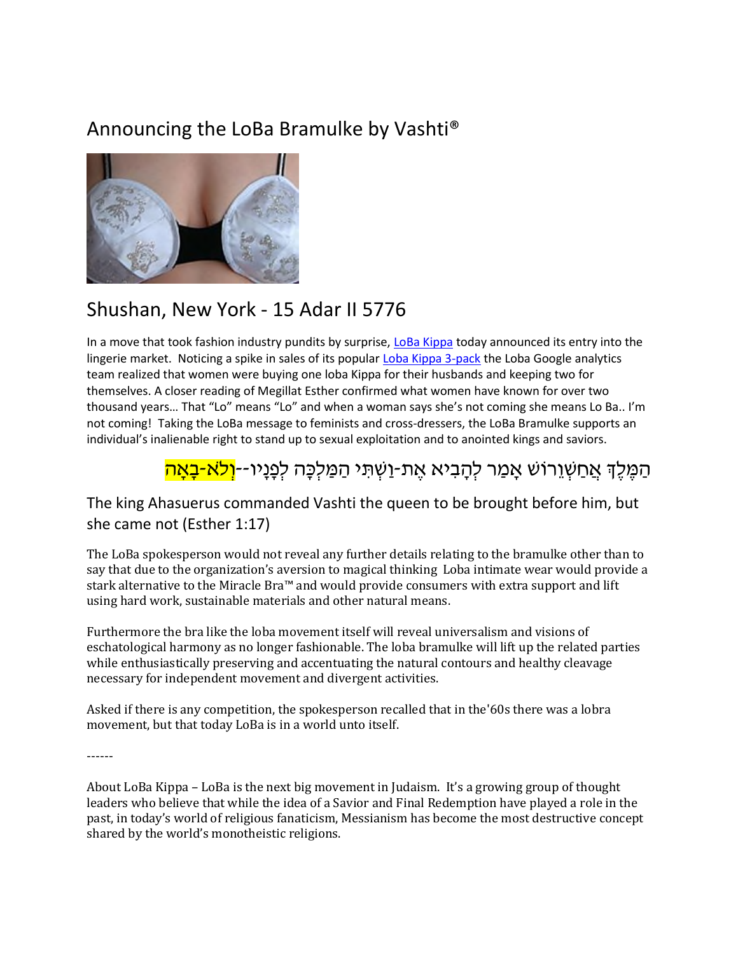## Announcing the LoBa Bramulke by Vashti®



## Shushan, New York - 15 Adar II 5776

In a move that took fashion industry pundits by surprise, LoBa Kippa today announced its entry into the lingerie market. Noticing a spike in sales of its popular Loba Kippa 3-pack the Loba Google analytics team realized that women were buying one loba Kippa for their husbands and keeping two for themselves. A closer reading of Megillat Esther confirmed what women have known for over two thousand years… That "Lo" means "Lo" and when a woman says she's not coming she means Lo Ba.. I'm not coming! Taking the LoBa message to feminists and cross-dressers, the LoBa Bramulke supports an individual's inalienable right to stand up to sexual exploitation and to anointed kings and saviors.

## ַהַמֵּלֵךְ אֲחַשָּׁוֵרוֹשׁ אָמַר לִהָבִיא אֵת-וַשִּׁתִּי הַמַּלִכָּה לִפְנָיו**ּ**--<mark>וְלֹא-בָאָה</mark>

## The king Ahasuerus commanded Vashti the queen to be brought before him, but she came not (Esther 1:17)

The LoBa spokesperson would not reveal any further details relating to the bramulke other than to say that due to the organization's aversion to magical thinking Loba intimate wear would provide a stark alternative to the Miracle Bra™ and would provide consumers with extra support and lift using hard work, sustainable materials and other natural means.

Furthermore the bra like the loba movement itself will reveal universalism and visions of eschatological harmony as no longer fashionable. The loba bramulke will lift up the related parties while enthusiastically preserving and accentuating the natural contours and healthy cleavage necessary for independent movement and divergent activities.

Asked if there is any competition, the spokesperson recalled that in the'60s there was a lobra movement, but that today LoBa is in a world unto itself.

------

About LoBa Kippa – LoBa is the next big movement in Judaism. It's a growing group of thought leaders who believe that while the idea of a Savior and Final Redemption have played a role in the past, in today's world of religious fanaticism, Messianism has become the most destructive concept shared by the world's monotheistic religions.